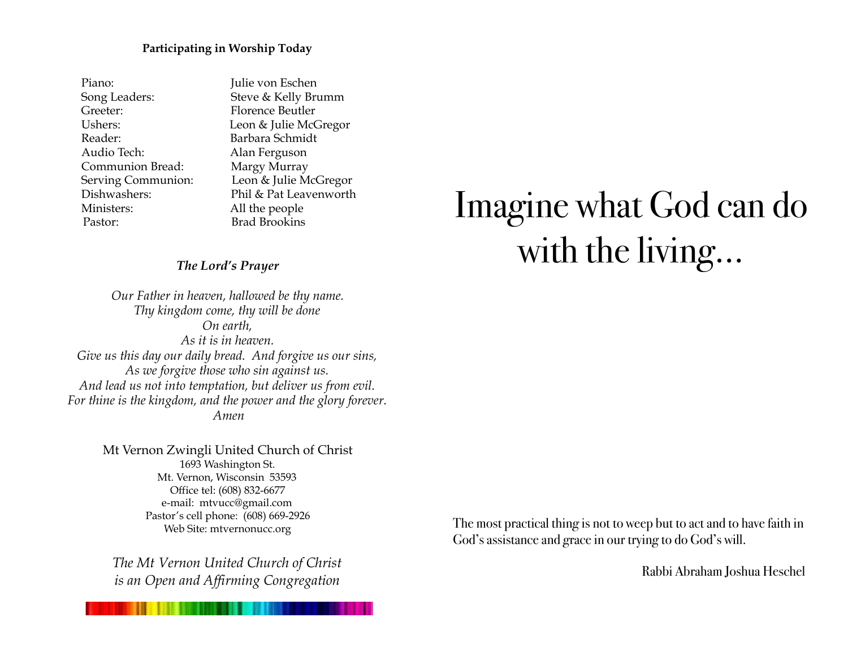#### **Participating in Worship Today**

| Piano:             | Julie von Eschen        |
|--------------------|-------------------------|
| Song Leaders:      | Steve & Kelly Brumm     |
| Greeter:           | <b>Florence Beutler</b> |
| Ushers:            | Leon & Julie McGregor   |
| Reader:            | Barbara Schmidt         |
| Audio Tech:        | Alan Ferguson           |
| Communion Bread:   | Margy Murray            |
| Serving Communion: | Leon & Julie McGregor   |
| Dishwashers:       | Phil & Pat Leavenworth  |
| Ministers:         | All the people          |
| Pastor:            | <b>Brad Brookins</b>    |

#### *The Lord's Prayer*

*Our Father in heaven, hallowed be thy name. Thy kingdom come, thy will be done On earth, As it is in heaven. Give us this day our daily bread. And forgive us our sins, As we forgive those who sin against us. And lead us not into temptation, but deliver us from evil. For thine is the kingdom, and the power and the glory forever. Amen*

> Mt Vernon Zwingli United Church of Christ 1693 Washington St. Mt. Vernon, Wisconsin 53593 Office tel: (608) 832-6677 e-mail: mtvucc@gmail.com Pastor's cell phone: (608) 669-2926 Web Site: [mtvernonucc.org](http://mtvernonucc.org)

*The Mt Vernon United Church of Christ is an Open and Affirming Congregation*

# Imagine what God can do with the living…

The most practical thing is not to weep but to act and to have faith in God's assistance and grace in our trying to do God's will.

Rabbi Abraham Joshua Heschel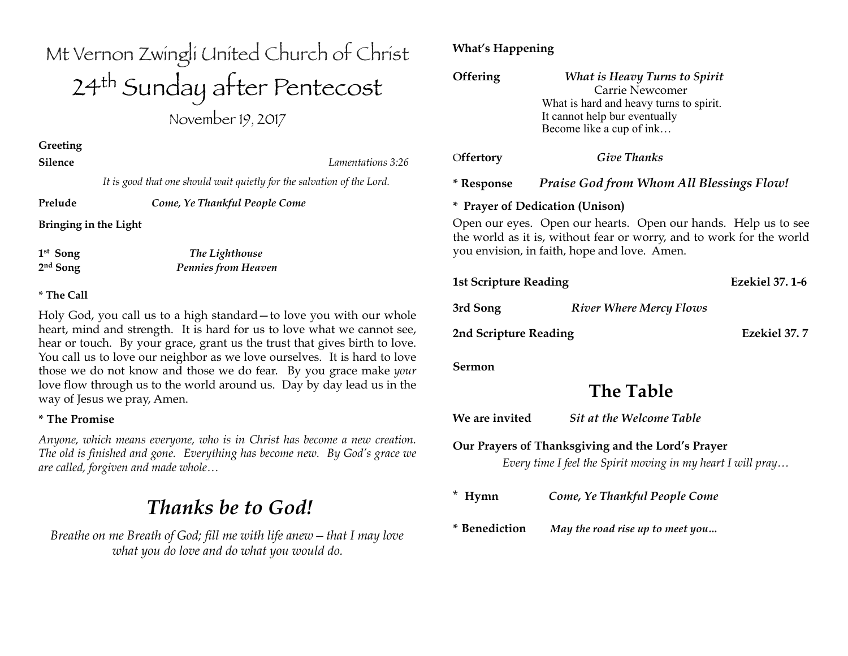## Mt Vernon Zwingli United Church of Christ 24th Sunday after Pentecost

November 19, 2017

**Greeting** 

**Silence** *Lamentations 3:26*

 *It is good that one should wait quietly for the salvation of the Lord.*

**Prelude** *Come, Ye Thankful People Come*

**Bringing in the Light**

**1st Song** *The Lighthouse* **2nd Song** *Pennies from Heaven* 

#### **\* The Call**

Holy God, you call us to a high standard—to love you with our whole heart, mind and strength. It is hard for us to love what we cannot see, hear or touch. By your grace, grant us the trust that gives birth to love. You call us to love our neighbor as we love ourselves. It is hard to love those we do not know and those we do fear. By you grace make *your* love flow through us to the world around us. Day by day lead us in the way of Jesus we pray, Amen.

#### **\* The Promise**

*Anyone, which means everyone, who is in Christ has become a new creation. The old is finished and gone. Everything has become new. By God's grace we are called, forgiven and made whole…*

## *Thanks be to God!*

*Breathe on me Breath of God; fill me with life anew—that I may love what you do love and do what you would do.*

#### **What's Happening**

| Offering                                                                                                                                                                               | <b>What is Heavy Turns to Spirit</b><br>Carrie Newcomer<br>What is hard and heavy turns to spirit.<br>It cannot help bur eventually<br>Become like a cup of ink |  |
|----------------------------------------------------------------------------------------------------------------------------------------------------------------------------------------|-----------------------------------------------------------------------------------------------------------------------------------------------------------------|--|
| Offertory                                                                                                                                                                              | <b>Give Thanks</b>                                                                                                                                              |  |
| * Response                                                                                                                                                                             | <b>Praise God from Whom All Blessings Flow!</b>                                                                                                                 |  |
| * Prayer of Dedication (Unison)                                                                                                                                                        |                                                                                                                                                                 |  |
| Open our eyes. Open our hearts. Open our hands. Help us to see<br>the world as it is, without fear or worry, and to work for the world<br>you envision, in faith, hope and love. Amen. |                                                                                                                                                                 |  |
| <b>Ezekiel 37, 1-6</b><br><b>1st Scripture Reading</b>                                                                                                                                 |                                                                                                                                                                 |  |
| 3rd Song                                                                                                                                                                               | <b>River Where Mercy Flows</b>                                                                                                                                  |  |
| Ezekiel 37.7<br>2nd Scripture Reading                                                                                                                                                  |                                                                                                                                                                 |  |
| Sermon                                                                                                                                                                                 |                                                                                                                                                                 |  |
| <b>The Table</b>                                                                                                                                                                       |                                                                                                                                                                 |  |
| We are invited                                                                                                                                                                         | <b>Sit at the Welcome Table</b>                                                                                                                                 |  |
| Our Prayers of Thanksgiving and the Lord's Prayer<br>Every time I feel the Spirit moving in my heart I will pray                                                                       |                                                                                                                                                                 |  |
| * Hymn                                                                                                                                                                                 | Come, Ye Thankful People Come                                                                                                                                   |  |
| * Benediction                                                                                                                                                                          | May the road rise up to meet you                                                                                                                                |  |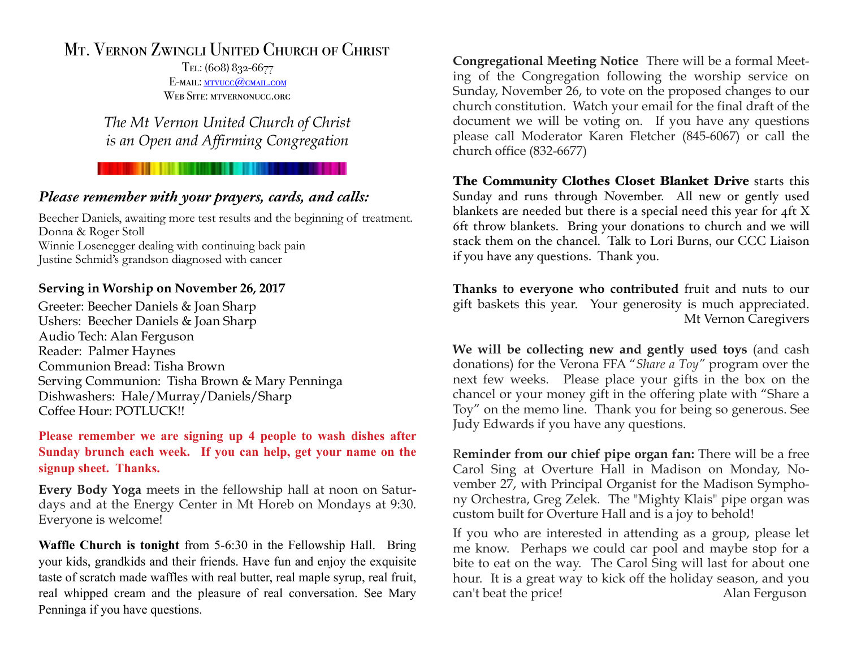### Mt. Vernon Zwingli United Church of Christ

Tel: (608) 832-6677 E-MAIL: MTVUCC@GMAIL.COM WEB SITE: MTVERNONUCC.ORG

*The Mt Vernon United Church of Christ is an Open and Affirming Congregation*

#### *Please remember with your prayers, cards, and calls:*

Beecher Daniels, awaiting more test results and the beginning of treatment. Donna & Roger Stoll Winnie Losenegger dealing with continuing back pain Justine Schmid's grandson diagnosed with cancer

#### **Serving in Worship on November 26, 2017**

Greeter: Beecher Daniels & Joan Sharp Ushers: Beecher Daniels & Joan Sharp Audio Tech: Alan Ferguson Reader: Palmer Haynes Communion Bread: Tisha Brown Serving Communion: Tisha Brown & Mary Penninga Dishwashers: Hale/Murray/Daniels/Sharp Coffee Hour: POTLUCK!!

#### **Please remember we are signing up 4 people to wash dishes after Sunday brunch each week. If you can help, get your name on the signup sheet. Thanks.**

**Every Body Yoga** meets in the fellowship hall at noon on Saturdays and at the Energy Center in Mt Horeb on Mondays at 9:30. Everyone is welcome!

**Waffle Church is tonight** from 5-6:30 in the Fellowship Hall. Bring your kids, grandkids and their friends. Have fun and enjoy the exquisite taste of scratch made waffles with real butter, real maple syrup, real fruit, real whipped cream and the pleasure of real conversation. See Mary Penninga if you have questions.

**Congregational Meeting Notice** There will be a formal Meeting of the Congregation following the worship service on Sunday, November 26, to vote on the proposed changes to our church constitution. Watch your email for the final draft of the document we will be voting on. If you have any questions please call Moderator Karen Fletcher (845-6067) or call the church office (832-6677)

The Community Clothes Closet Blanket Drive starts this Sunday and runs through November. All new or gently used blankets are needed but there is a special need this year for 4ft X 6ft throw blankets. Bring your donations to church and we will stack them on the chancel. Talk to Lori Burns, our CCC Liaison if you have any questions. Thank you.

**Thanks to everyone who contributed** fruit and nuts to our gift baskets this year. Your generosity is much appreciated. Mt Vernon Caregivers

**We will be collecting new and gently used toys** (and cash donations) for the Verona FFA "*Share a Toy"* program over the next few weeks. Please place your gifts in the box on the chancel or your money gift in the offering plate with "Share a Toy" on the memo line. Thank you for being so generous. See Judy Edwards if you have any questions.

R**eminder from our chief pipe organ fan:** There will be a free Carol Sing at Overture Hall in Madison on Monday, November 27, with Principal Organist for the Madison Symphony Orchestra, Greg Zelek. The "Mighty Klais" pipe organ was custom built for Overture Hall and is a joy to behold!

If you who are interested in attending as a group, please let me know. Perhaps we could car pool and maybe stop for a bite to eat on the way. The Carol Sing will last for about one hour. It is a great way to kick off the holiday season, and you can't beat the price! Alan Ferguson